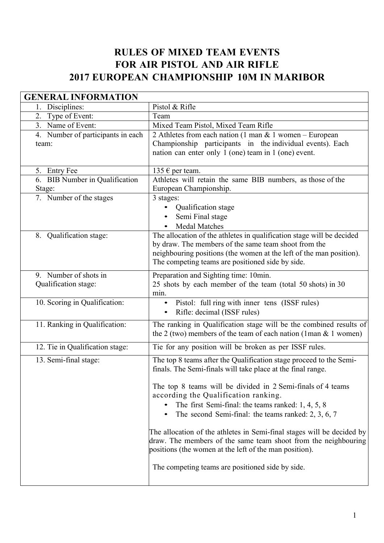## RULES OF MIXED TEAM EVENTS FOR AIR PISTOL AND AIR RIFLE 2017 EUROPEAN CHAMPIONSHIP 10M IN MARIBOR

| <b>GENERAL INFORMATION</b>        |                                                                                                                                         |  |
|-----------------------------------|-----------------------------------------------------------------------------------------------------------------------------------------|--|
| Disciplines:                      | Pistol & Rifle                                                                                                                          |  |
| Type of Event:<br>2.              | Team                                                                                                                                    |  |
| 3. Name of Event:                 | Mixed Team Pistol, Mixed Team Rifle                                                                                                     |  |
| 4. Number of participants in each | 2 Athletes from each nation (1 man $&$ 1 women – European                                                                               |  |
| team:                             | Championship participants in the individual events). Each                                                                               |  |
|                                   | nation can enter only 1 (one) team in 1 (one) event.                                                                                    |  |
|                                   |                                                                                                                                         |  |
| 5. Entry Fee                      | 135 $\epsilon$ per team.                                                                                                                |  |
| 6. BIB Number in Qualification    | Athletes will retain the same BIB numbers, as those of the                                                                              |  |
| Stage:                            | European Championship.                                                                                                                  |  |
| 7. Number of the stages           | 3 stages:                                                                                                                               |  |
|                                   | Qualification stage                                                                                                                     |  |
|                                   | Semi Final stage                                                                                                                        |  |
|                                   | <b>Medal Matches</b>                                                                                                                    |  |
| 8. Qualification stage:           | The allocation of the athletes in qualification stage will be decided<br>by draw. The members of the same team shoot from the           |  |
|                                   | neighbouring positions (the women at the left of the man position).                                                                     |  |
|                                   | The competing teams are positioned side by side.                                                                                        |  |
|                                   |                                                                                                                                         |  |
| 9. Number of shots in             | Preparation and Sighting time: 10min.                                                                                                   |  |
| Qualification stage:              | 25 shots by each member of the team (total 50 shots) in 30                                                                              |  |
| 10. Scoring in Qualification:     | min.                                                                                                                                    |  |
|                                   | Pistol: full ring with inner tens (ISSF rules)<br>Rifle: decimal (ISSF rules)                                                           |  |
|                                   |                                                                                                                                         |  |
| 11. Ranking in Qualification:     | The ranking in Qualification stage will be the combined results of<br>the 2 (two) members of the team of each nation (1man $&$ 1 women) |  |
| 12. Tie in Qualification stage:   | Tie for any position will be broken as per ISSF rules.                                                                                  |  |
| 13. Semi-final stage:             | The top 8 teams after the Qualification stage proceed to the Semi-                                                                      |  |
|                                   | finals. The Semi-finals will take place at the final range.                                                                             |  |
|                                   |                                                                                                                                         |  |
|                                   | The top 8 teams will be divided in 2 Semi-finals of 4 teams                                                                             |  |
|                                   | according the Qualification ranking.                                                                                                    |  |
|                                   | The first Semi-final: the teams ranked: $1, 4, 5, 8$                                                                                    |  |
|                                   | The second Semi-final: the teams ranked: $2, 3, 6, 7$                                                                                   |  |
|                                   | The allocation of the athletes in Semi-final stages will be decided by                                                                  |  |
|                                   | draw. The members of the same team shoot from the neighbouring                                                                          |  |
|                                   | positions (the women at the left of the man position).                                                                                  |  |
|                                   |                                                                                                                                         |  |
|                                   | The competing teams are positioned side by side.                                                                                        |  |
|                                   |                                                                                                                                         |  |
|                                   |                                                                                                                                         |  |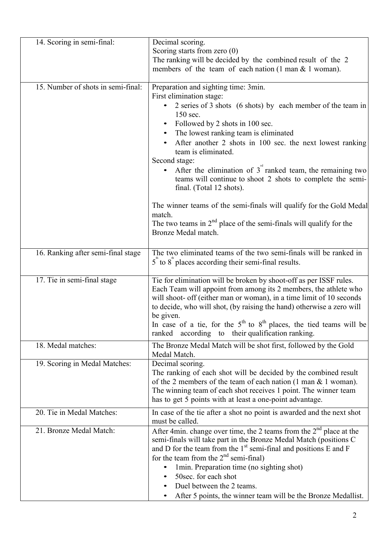| 14. Scoring in semi-final:         | Decimal scoring.                                                                                                                                                                                                                                                                                                                                                                                                                                                                                                                                                                                                                                 |
|------------------------------------|--------------------------------------------------------------------------------------------------------------------------------------------------------------------------------------------------------------------------------------------------------------------------------------------------------------------------------------------------------------------------------------------------------------------------------------------------------------------------------------------------------------------------------------------------------------------------------------------------------------------------------------------------|
|                                    | Scoring starts from zero $(0)$<br>The ranking will be decided by the combined result of the 2<br>members of the team of each nation $(1 \text{ man } \& 1 \text{ woman})$ .                                                                                                                                                                                                                                                                                                                                                                                                                                                                      |
| 15. Number of shots in semi-final: | Preparation and sighting time: 3min.<br>First elimination stage:<br>2 series of 3 shots (6 shots) by each member of the team in<br>150 sec.<br>Followed by 2 shots in 100 sec.<br>The lowest ranking team is eliminated<br>After another 2 shots in 100 sec. the next lowest ranking<br>team is eliminated.<br>Second stage:<br>After the elimination of $3nd$ ranked team, the remaining two<br>teams will continue to shoot 2 shots to complete the semi-<br>final. (Total 12 shots).<br>The winner teams of the semi-finals will qualify for the Gold Medal<br>match.<br>The two teams in $2nd$ place of the semi-finals will qualify for the |
|                                    | Bronze Medal match.                                                                                                                                                                                                                                                                                                                                                                                                                                                                                                                                                                                                                              |
| 16. Ranking after semi-final stage | The two eliminated teams of the two semi-finals will be ranked in<br>$5$ " to $8$ " places according their semi-final results.                                                                                                                                                                                                                                                                                                                                                                                                                                                                                                                   |
| 17. Tie in semi-final stage        | Tie for elimination will be broken by shoot-off as per ISSF rules.<br>Each Team will appoint from among its 2 members, the athlete who<br>will shoot- off (either man or woman), in a time limit of 10 seconds<br>to decide, who will shot, (by raising the hand) otherwise a zero will<br>be given.<br>In case of a tie, for the $5th$ to $8th$ places, the tied teams will be<br>ranked according to their qualification ranking.                                                                                                                                                                                                              |
| 18. Medal matches:                 | The Bronze Medal Match will be shot first, followed by the Gold<br>Medal Match.                                                                                                                                                                                                                                                                                                                                                                                                                                                                                                                                                                  |
| 19. Scoring in Medal Matches:      | Decimal scoring.<br>The ranking of each shot will be decided by the combined result<br>of the 2 members of the team of each nation $(1 \text{ man } \& 1 \text{ woman})$ .<br>The winning team of each shot receives 1 point. The winner team<br>has to get 5 points with at least a one-point advantage.                                                                                                                                                                                                                                                                                                                                        |
| 20. Tie in Medal Matches:          | In case of the tie after a shot no point is awarded and the next shot<br>must be called.                                                                                                                                                                                                                                                                                                                                                                                                                                                                                                                                                         |
| 21. Bronze Medal Match:            | After 4min. change over time, the 2 teams from the $2nd$ place at the<br>semi-finals will take part in the Bronze Medal Match (positions C<br>and D for the team from the $1st$ semi-final and positions E and F<br>for the team from the $2nd$ semi-final)<br>1min. Preparation time (no sighting shot)<br>50sec. for each shot<br>Duel between the 2 teams.<br>After 5 points, the winner team will be the Bronze Medallist.                                                                                                                                                                                                                   |